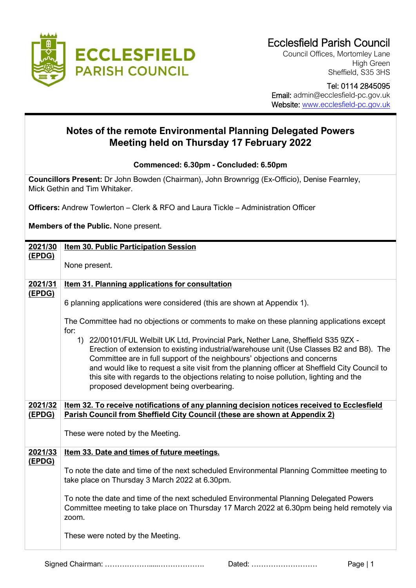

Council Offices, Mortomley Lane High Green Sheffield, S35 3HS

 Tel: 0114 2845095 Email: admin@ecclesfield-pc.gov.uk Website: [www.ecclesfield-pc.gov.uk](http://www.ecclesfield-pc.gov.uk/)

## **Notes of the remote Environmental Planning Delegated Powers Meeting held on Thursday 17 February 2022**

**Commenced: 6.30pm - Concluded: 6.50pm**

**Councillors Present:** Dr John Bowden (Chairman), John Brownrigg (Ex-Officio), Denise Fearnley, Mick Gethin and Tim Whitaker.

**Officers:** Andrew Towlerton – Clerk & RFO and Laura Tickle – Administration Officer

**Members of the Public.** None present.

| 2021/30 | <b>Item 30. Public Participation Session</b>                                                                                                                                                                                                                                                                                                                                                                                                                                                    |  |  |  |  |
|---------|-------------------------------------------------------------------------------------------------------------------------------------------------------------------------------------------------------------------------------------------------------------------------------------------------------------------------------------------------------------------------------------------------------------------------------------------------------------------------------------------------|--|--|--|--|
| (EPDG)  | None present.                                                                                                                                                                                                                                                                                                                                                                                                                                                                                   |  |  |  |  |
| 2021/31 | <b>Item 31. Planning applications for consultation</b>                                                                                                                                                                                                                                                                                                                                                                                                                                          |  |  |  |  |
| (EPDG)  | 6 planning applications were considered (this are shown at Appendix 1).                                                                                                                                                                                                                                                                                                                                                                                                                         |  |  |  |  |
|         | The Committee had no objections or comments to make on these planning applications except<br>for:                                                                                                                                                                                                                                                                                                                                                                                               |  |  |  |  |
|         | 1) 22/00101/FUL Welbilt UK Ltd, Provincial Park, Nether Lane, Sheffield S35 9ZX -<br>Erection of extension to existing industrial/warehouse unit (Use Classes B2 and B8). The<br>Committee are in full support of the neighbours' objections and concerns<br>and would like to request a site visit from the planning officer at Sheffield City Council to<br>this site with regards to the objections relating to noise pollution, lighting and the<br>proposed development being overbearing. |  |  |  |  |
| 2021/32 | Item 32. To receive notifications of any planning decision notices received to Ecclesfield                                                                                                                                                                                                                                                                                                                                                                                                      |  |  |  |  |
| (EPDG)  | Parish Council from Sheffield City Council (these are shown at Appendix 2)                                                                                                                                                                                                                                                                                                                                                                                                                      |  |  |  |  |
|         | These were noted by the Meeting.                                                                                                                                                                                                                                                                                                                                                                                                                                                                |  |  |  |  |
| 2021/33 | Item 33. Date and times of future meetings.                                                                                                                                                                                                                                                                                                                                                                                                                                                     |  |  |  |  |
| (EPDG)  | To note the date and time of the next scheduled Environmental Planning Committee meeting to<br>take place on Thursday 3 March 2022 at 6.30pm.                                                                                                                                                                                                                                                                                                                                                   |  |  |  |  |
|         | To note the date and time of the next scheduled Environmental Planning Delegated Powers<br>Committee meeting to take place on Thursday 17 March 2022 at 6.30pm being held remotely via<br>zoom.                                                                                                                                                                                                                                                                                                 |  |  |  |  |
|         | These were noted by the Meeting.                                                                                                                                                                                                                                                                                                                                                                                                                                                                |  |  |  |  |

Signed Chairman: ……………….....………………. Dated: ……………………… Page | 1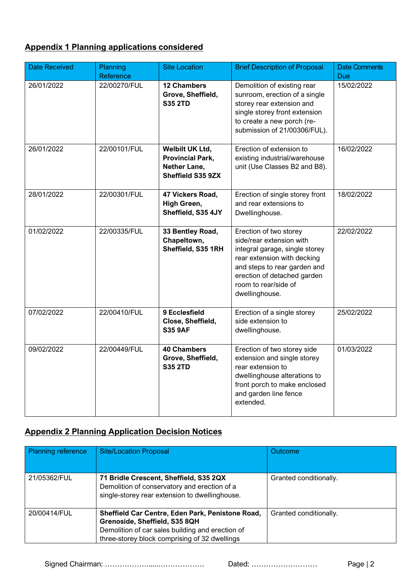## **Appendix 1 Planning applications considered**

| <b>Date Received</b> | Planning<br>Reference | <b>Site Location</b>                                                            | <b>Brief Description of Proposal</b>                                                                                                                                                                                         | <b>Date Comments</b><br><b>Due</b> |
|----------------------|-----------------------|---------------------------------------------------------------------------------|------------------------------------------------------------------------------------------------------------------------------------------------------------------------------------------------------------------------------|------------------------------------|
| 26/01/2022           | 22/00270/FUL          | <b>12 Chambers</b><br>Grove, Sheffield,<br><b>S35 2TD</b>                       | Demolition of existing rear<br>sunroom, erection of a single<br>storey rear extension and<br>single storey front extension<br>to create a new porch (re-<br>submission of 21/00306/FUL).                                     | 15/02/2022                         |
| 26/01/2022           | 22/00101/FUL          | Welbilt UK Ltd,<br><b>Provincial Park,</b><br>Nether Lane,<br>Sheffield S35 9ZX | Erection of extension to<br>existing industrial/warehouse<br>unit (Use Classes B2 and B8).                                                                                                                                   | 16/02/2022                         |
| 28/01/2022           | 22/00301/FUL          | 47 Vickers Road,<br>High Green,<br>Sheffield, S35 4JY                           | Erection of single storey front<br>and rear extensions to<br>Dwellinghouse.                                                                                                                                                  | 18/02/2022                         |
| 01/02/2022           | 22/00335/FUL          | 33 Bentley Road,<br>Chapeltown,<br>Sheffield, S35 1RH                           | Erection of two storey<br>side/rear extension with<br>integral garage, single storey<br>rear extension with decking<br>and steps to rear garden and<br>erection of detached garden<br>room to rear/side of<br>dwellinghouse. | 22/02/2022                         |
| 07/02/2022           | 22/00410/FUL          | 9 Ecclesfield<br>Close, Sheffield,<br><b>S35 9AF</b>                            | Erection of a single storey<br>side extension to<br>dwellinghouse.                                                                                                                                                           | 25/02/2022                         |
| 09/02/2022           | 22/00449/FUL          | <b>40 Chambers</b><br>Grove, Sheffield,<br><b>S35 2TD</b>                       | Erection of two storey side<br>extension and single storey<br>rear extension to<br>dwellinghouse alterations to<br>front porch to make enclosed<br>and garden line fence<br>extended.                                        | 01/03/2022                         |

## **Appendix 2 Planning Application Decision Notices**

| <b>Planning reference</b> | <b>Site/Location Proposal</b>                                                                                                                                                          | Outcome                |
|---------------------------|----------------------------------------------------------------------------------------------------------------------------------------------------------------------------------------|------------------------|
| 21/05362/FUL              | 71 Bridle Crescent, Sheffield, S35 2QX<br>Demolition of conservatory and erection of a<br>single-storey rear extension to dwellinghouse.                                               | Granted conditionally. |
| 20/00414/FUL              | Sheffield Car Centre, Eden Park, Penistone Road,<br>Grenoside, Sheffield, S35 8QH<br>Demolition of car sales building and erection of<br>three-storey block comprising of 32 dwellings | Granted conditionally. |